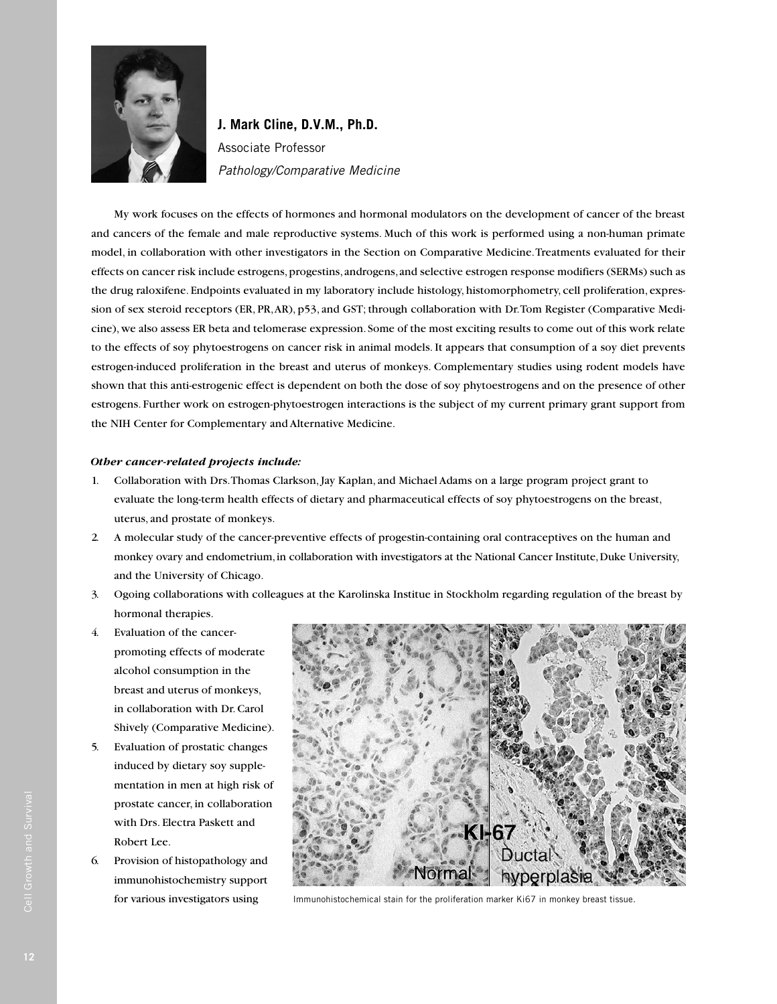

**J. Mark Cline, D.V.M., Ph.D.** Associate Professor Pathology/Comparative Medicine

My work focuses on the effects of hormones and hormonal modulators on the development of cancer of the breast and cancers of the female and male reproductive systems. Much of this work is performed using a non-human primate model, in collaboration with other investigators in the Section on Comparative Medicine. Treatments evaluated for their effects on cancer risk include estrogens, progestins, androgens, and selective estrogen response modifiers (SERMs) such as the drug raloxifene. Endpoints evaluated in my laboratory include histology, histomorphometry, cell proliferation, expression of sex steroid receptors (ER, PR, AR), p53, and GST; through collaboration with Dr. Tom Register (Comparative Medicine), we also assess ER beta and telomerase expression. Some of the most exciting results to come out of this work relate to the effects of soy phytoestrogens on cancer risk in animal models. It appears that consumption of a soy diet prevents estrogen-induced proliferation in the breast and uterus of monkeys. Complementary studies using rodent models have shown that this anti-estrogenic effect is dependent on both the dose of soy phytoestrogens and on the presence of other estrogens. Further work on estrogen-phytoestrogen interactions is the subject of my current primary grant support from the NIH Center for Complementary and Alternative Medicine.

## *Other cancer-related projects include:*

- 1. Collaboration with Drs. Thomas Clarkson, Jay Kaplan, and Michael Adams on a large program project grant to evaluate the long-term health effects of dietary and pharmaceutical effects of soy phytoestrogens on the breast, uterus, and prostate of monkeys.
- 2. A molecular study of the cancer-preventive effects of progestin-containing oral contraceptives on the human and monkey ovary and endometrium, in collaboration with investigators at the National Cancer Institute, Duke University, and the University of Chicago.
- 3. Ogoing collaborations with colleagues at the Karolinska Institue in Stockholm regarding regulation of the breast by hormonal therapies.
- 4. Evaluation of the cancerpromoting effects of moderate alcohol consumption in the breast and uterus of monkeys, in collaboration with Dr. Carol Shively (Comparative Medicine).
- 5. Evaluation of prostatic changes induced by dietary soy supplementation in men at high risk of prostate cancer, in collaboration with Drs. Electra Paskett and Robert Lee.
- 6. Provision of histopathology and immunohistochemistry support for various investigators using



Immunohistochemical stain for the proliferation marker Ki67 in monkey breast tissue.